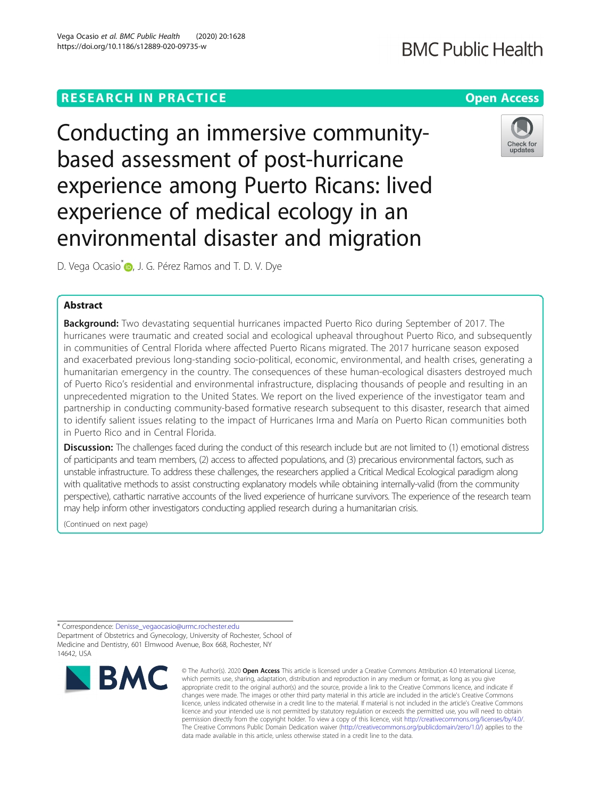# **RESEARCH IN PRACTICE Example 20 and 20 and 20 and 20 and 20 and 20 and 20 and 20 and 20 and 20 and 20 and 20 and 20 and 20 and 20 and 20 and 20 and 20 and 20 and 20 and 20 and 20 and 20 and 20 and 20 and 20 and 20 and 2**

Conducting an immersive communitybased assessment of post-hurricane experience among Puerto Ricans: lived experience of medical ecology in an environmental disaster and migration

D. Vega Ocasio<sup>\*</sup> D[,](http://orcid.org/0000-0002-4716-4745) J. G. Pérez Ramos and T. D. V. Dye

# Abstract

**Background:** Two devastating sequential hurricanes impacted Puerto Rico during September of 2017. The hurricanes were traumatic and created social and ecological upheaval throughout Puerto Rico, and subsequently in communities of Central Florida where affected Puerto Ricans migrated. The 2017 hurricane season exposed and exacerbated previous long-standing socio-political, economic, environmental, and health crises, generating a humanitarian emergency in the country. The consequences of these human-ecological disasters destroyed much of Puerto Rico's residential and environmental infrastructure, displacing thousands of people and resulting in an unprecedented migration to the United States. We report on the lived experience of the investigator team and partnership in conducting community-based formative research subsequent to this disaster, research that aimed to identify salient issues relating to the impact of Hurricanes Irma and María on Puerto Rican communities both in Puerto Rico and in Central Florida.

**Discussion:** The challenges faced during the conduct of this research include but are not limited to (1) emotional distress of participants and team members, (2) access to affected populations, and (3) precarious environmental factors, such as unstable infrastructure. To address these challenges, the researchers applied a Critical Medical Ecological paradigm along with qualitative methods to assist constructing explanatory models while obtaining internally-valid (from the community perspective), cathartic narrative accounts of the lived experience of hurricane survivors. The experience of the research team may help inform other investigators conducting applied research during a humanitarian crisis.

(Continued on next page)

\* Correspondence: [Denisse\\_vegaocasio@urmc.rochester.edu](mailto:Denisse_vegaocasio@urmc.rochester.edu)

**BMC** 

Department of Obstetrics and Gynecology, University of Rochester, School of Medicine and Dentistry, 601 Elmwood Avenue, Box 668, Rochester, NY 14642, USA





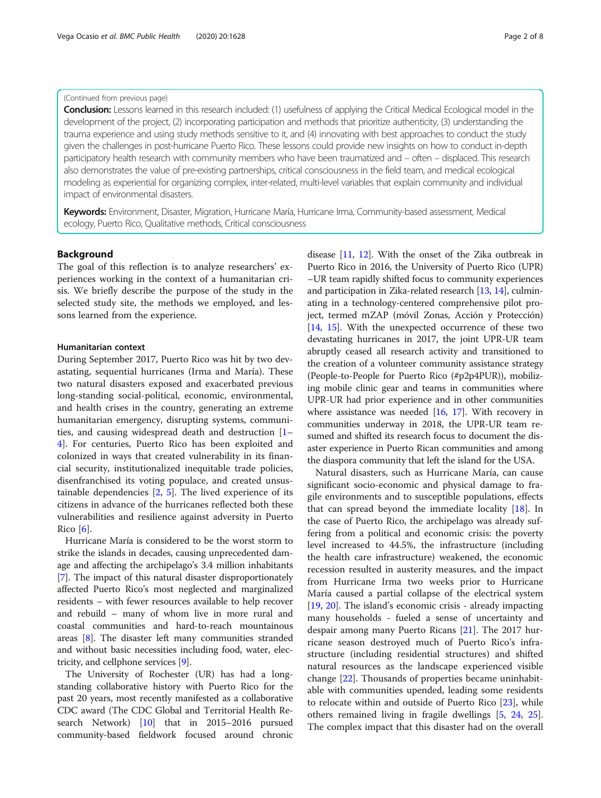# (Continued from previous page)

Conclusion: Lessons learned in this research included: (1) usefulness of applying the Critical Medical Ecological model in the development of the project, (2) incorporating participation and methods that prioritize authenticity, (3) understanding the trauma experience and using study methods sensitive to it, and (4) innovating with best approaches to conduct the study given the challenges in post-hurricane Puerto Rico. These lessons could provide new insights on how to conduct in-depth participatory health research with community members who have been traumatized and – often – displaced. This research also demonstrates the value of pre-existing partnerships, critical consciousness in the field team, and medical ecological modeling as experiential for organizing complex, inter-related, multi-level variables that explain community and individual impact of environmental disasters.

Keywords: Environment, Disaster, Migration, Hurricane María, Hurricane Irma, Community-based assessment, Medical ecology, Puerto Rico, Qualitative methods, Critical consciousness

### Background

The goal of this reflection is to analyze researchers' experiences working in the context of a humanitarian crisis. We briefly describe the purpose of the study in the selected study site, the methods we employed, and lessons learned from the experience.

## Humanitarian context

During September 2017, Puerto Rico was hit by two devastating, sequential hurricanes (Irma and María). These two natural disasters exposed and exacerbated previous long-standing social-political, economic, environmental, and health crises in the country, generating an extreme humanitarian emergency, disrupting systems, communities, and causing widespread death and destruction [[1](#page-7-0)– [4\]](#page-7-0). For centuries, Puerto Rico has been exploited and colonized in ways that created vulnerability in its financial security, institutionalized inequitable trade policies, disenfranchised its voting populace, and created unsustainable dependencies [\[2](#page-7-0), [5\]](#page-7-0). The lived experience of its citizens in advance of the hurricanes reflected both these vulnerabilities and resilience against adversity in Puerto Rico [[6\]](#page-7-0).

Hurricane María is considered to be the worst storm to strike the islands in decades, causing unprecedented damage and affecting the archipelago's 3.4 million inhabitants [[7\]](#page-7-0). The impact of this natural disaster disproportionately affected Puerto Rico's most neglected and marginalized residents – with fewer resources available to help recover and rebuild – many of whom live in more rural and coastal communities and hard-to-reach mountainous areas [[8\]](#page-7-0). The disaster left many communities stranded and without basic necessities including food, water, electricity, and cellphone services [[9\]](#page-7-0).

The University of Rochester (UR) has had a longstanding collaborative history with Puerto Rico for the past 20 years, most recently manifested as a collaborative CDC award (The CDC Global and Territorial Health Research Network) [\[10\]](#page-7-0) that in 2015–2016 pursued community-based fieldwork focused around chronic disease [[11](#page-7-0), [12](#page-7-0)]. With the onset of the Zika outbreak in Puerto Rico in 2016, the University of Puerto Rico (UPR) –UR team rapidly shifted focus to community experiences and participation in Zika-related research [[13](#page-7-0), [14](#page-7-0)], culminating in a technology-centered comprehensive pilot project, termed mZAP (móvil Zonas, Acción y Protección) [[14](#page-7-0), [15\]](#page-7-0). With the unexpected occurrence of these two devastating hurricanes in 2017, the joint UPR-UR team abruptly ceased all research activity and transitioned to the creation of a volunteer community assistance strategy (People-to-People for Puerto Rico (#p2p4PUR)), mobilizing mobile clinic gear and teams in communities where UPR-UR had prior experience and in other communities where assistance was needed [\[16,](#page-7-0) [17\]](#page-7-0). With recovery in communities underway in 2018, the UPR-UR team resumed and shifted its research focus to document the disaster experience in Puerto Rican communities and among the diaspora community that left the island for the USA.

Natural disasters, such as Hurricane María, can cause significant socio-economic and physical damage to fragile environments and to susceptible populations, effects that can spread beyond the immediate locality [\[18](#page-7-0)]. In the case of Puerto Rico, the archipelago was already suffering from a political and economic crisis: the poverty level increased to 44.5%, the infrastructure (including the health care infrastructure) weakened, the economic recession resulted in austerity measures, and the impact from Hurricane Irma two weeks prior to Hurricane María caused a partial collapse of the electrical system [[19,](#page-7-0) [20\]](#page-7-0). The island's economic crisis - already impacting many households - fueled a sense of uncertainty and despair among many Puerto Ricans [[21\]](#page-7-0). The 2017 hurricane season destroyed much of Puerto Rico's infrastructure (including residential structures) and shifted natural resources as the landscape experienced visible change [[22\]](#page-7-0). Thousands of properties became uninhabitable with communities upended, leading some residents to relocate within and outside of Puerto Rico [\[23](#page-7-0)], while others remained living in fragile dwellings [[5,](#page-7-0) [24](#page-7-0), [25](#page-7-0)]. The complex impact that this disaster had on the overall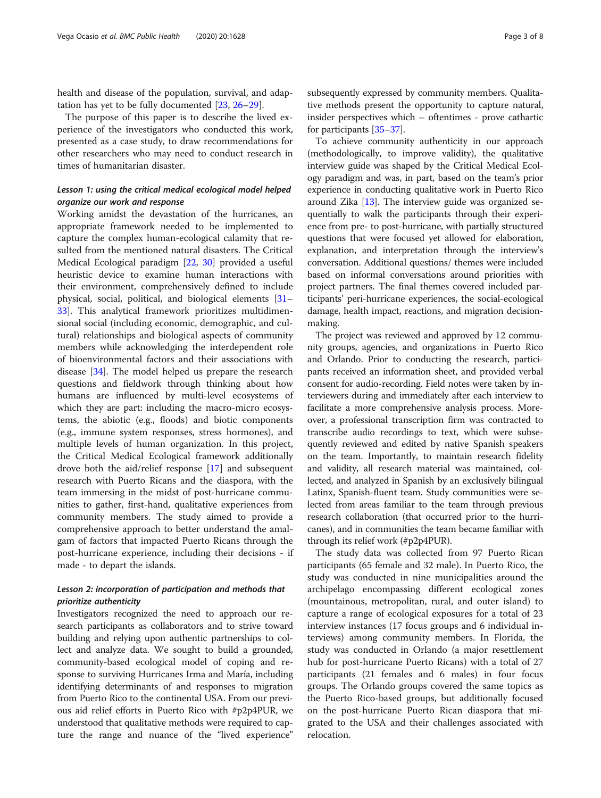health and disease of the population, survival, and adaptation has yet to be fully documented [\[23,](#page-7-0) [26](#page-7-0)–[29\]](#page-7-0).

The purpose of this paper is to describe the lived experience of the investigators who conducted this work, presented as a case study, to draw recommendations for other researchers who may need to conduct research in times of humanitarian disaster.

# Lesson 1: using the critical medical ecological model helped organize our work and response

Working amidst the devastation of the hurricanes, an appropriate framework needed to be implemented to capture the complex human-ecological calamity that resulted from the mentioned natural disasters. The Critical Medical Ecological paradigm [[22](#page-7-0), [30](#page-7-0)] provided a useful heuristic device to examine human interactions with their environment, comprehensively defined to include physical, social, political, and biological elements [[31](#page-7-0)– [33\]](#page-7-0). This analytical framework prioritizes multidimensional social (including economic, demographic, and cultural) relationships and biological aspects of community members while acknowledging the interdependent role of bioenvironmental factors and their associations with disease [\[34](#page-7-0)]. The model helped us prepare the research questions and fieldwork through thinking about how humans are influenced by multi-level ecosystems of which they are part: including the macro-micro ecosystems, the abiotic (e.g., floods) and biotic components (e.g., immune system responses, stress hormones), and multiple levels of human organization. In this project, the Critical Medical Ecological framework additionally drove both the aid/relief response [[17\]](#page-7-0) and subsequent research with Puerto Ricans and the diaspora, with the team immersing in the midst of post-hurricane communities to gather, first-hand, qualitative experiences from community members. The study aimed to provide a comprehensive approach to better understand the amalgam of factors that impacted Puerto Ricans through the post-hurricane experience, including their decisions - if made - to depart the islands.

# Lesson 2: incorporation of participation and methods that prioritize authenticity

Investigators recognized the need to approach our research participants as collaborators and to strive toward building and relying upon authentic partnerships to collect and analyze data. We sought to build a grounded, community-based ecological model of coping and response to surviving Hurricanes Irma and María, including identifying determinants of and responses to migration from Puerto Rico to the continental USA. From our previous aid relief efforts in Puerto Rico with #p2p4PUR, we understood that qualitative methods were required to capture the range and nuance of the "lived experience" subsequently expressed by community members. Qualitative methods present the opportunity to capture natural, insider perspectives which – oftentimes - prove cathartic for participants [\[35](#page-7-0)–[37](#page-7-0)].

To achieve community authenticity in our approach (methodologically, to improve validity), the qualitative interview guide was shaped by the Critical Medical Ecology paradigm and was, in part, based on the team's prior experience in conducting qualitative work in Puerto Rico around Zika [[13](#page-7-0)]. The interview guide was organized sequentially to walk the participants through their experience from pre- to post-hurricane, with partially structured questions that were focused yet allowed for elaboration, explanation, and interpretation through the interview's conversation. Additional questions/ themes were included based on informal conversations around priorities with project partners. The final themes covered included participants' peri-hurricane experiences, the social-ecological damage, health impact, reactions, and migration decisionmaking.

The project was reviewed and approved by 12 community groups, agencies, and organizations in Puerto Rico and Orlando. Prior to conducting the research, participants received an information sheet, and provided verbal consent for audio-recording. Field notes were taken by interviewers during and immediately after each interview to facilitate a more comprehensive analysis process. Moreover, a professional transcription firm was contracted to transcribe audio recordings to text, which were subsequently reviewed and edited by native Spanish speakers on the team. Importantly, to maintain research fidelity and validity, all research material was maintained, collected, and analyzed in Spanish by an exclusively bilingual Latinx, Spanish-fluent team. Study communities were selected from areas familiar to the team through previous research collaboration (that occurred prior to the hurricanes), and in communities the team became familiar with through its relief work (#p2p4PUR).

The study data was collected from 97 Puerto Rican participants (65 female and 32 male). In Puerto Rico, the study was conducted in nine municipalities around the archipelago encompassing different ecological zones (mountainous, metropolitan, rural, and outer island) to capture a range of ecological exposures for a total of 23 interview instances (17 focus groups and 6 individual interviews) among community members. In Florida, the study was conducted in Orlando (a major resettlement hub for post-hurricane Puerto Ricans) with a total of 27 participants (21 females and 6 males) in four focus groups. The Orlando groups covered the same topics as the Puerto Rico-based groups, but additionally focused on the post-hurricane Puerto Rican diaspora that migrated to the USA and their challenges associated with relocation.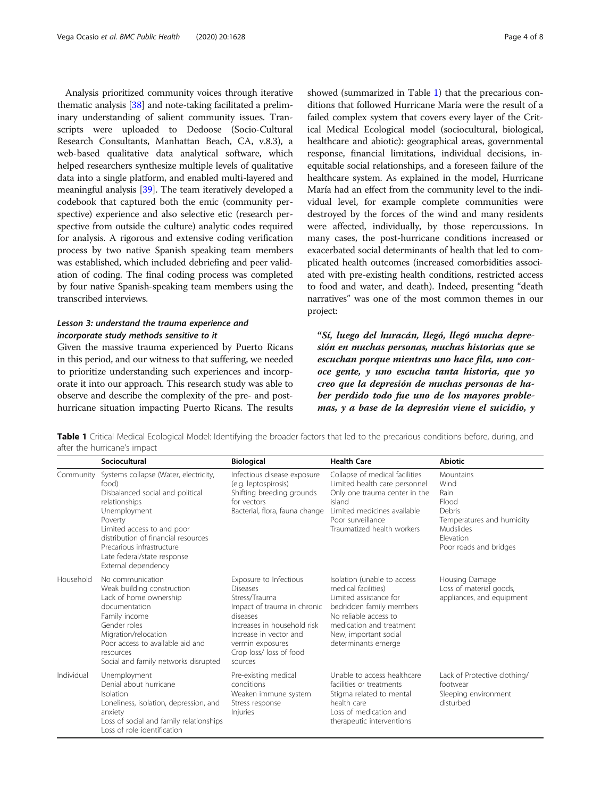Analysis prioritized community voices through iterative thematic analysis [[38](#page-7-0)] and note-taking facilitated a preliminary understanding of salient community issues. Transcripts were uploaded to Dedoose (Socio-Cultural Research Consultants, Manhattan Beach, CA, v.8.3), a web-based qualitative data analytical software, which helped researchers synthesize multiple levels of qualitative data into a single platform, and enabled multi-layered and meaningful analysis [\[39\]](#page-7-0). The team iteratively developed a codebook that captured both the emic (community perspective) experience and also selective etic (research perspective from outside the culture) analytic codes required for analysis. A rigorous and extensive coding verification process by two native Spanish speaking team members was established, which included debriefing and peer validation of coding. The final coding process was completed by four native Spanish-speaking team members using the transcribed interviews.

# Lesson 3: understand the trauma experience and incorporate study methods sensitive to it

Given the massive trauma experienced by Puerto Ricans in this period, and our witness to that suffering, we needed to prioritize understanding such experiences and incorporate it into our approach. This research study was able to observe and describe the complexity of the pre- and posthurricane situation impacting Puerto Ricans. The results showed (summarized in Table 1) that the precarious conditions that followed Hurricane María were the result of a failed complex system that covers every layer of the Critical Medical Ecological model (sociocultural, biological, healthcare and abiotic): geographical areas, governmental response, financial limitations, individual decisions, inequitable social relationships, and a foreseen failure of the healthcare system. As explained in the model, Hurricane María had an effect from the community level to the individual level, for example complete communities were destroyed by the forces of the wind and many residents were affected, individually, by those repercussions. In many cases, the post-hurricane conditions increased or exacerbated social determinants of health that led to complicated health outcomes (increased comorbidities associated with pre-existing health conditions, restricted access to food and water, and death). Indeed, presenting "death narratives" was one of the most common themes in our project:

"Sí, luego del huracán, llegó, llegó mucha depresión en muchas personas, muchas historias que se escuchan porque mientras uno hace fila, uno conoce gente, y uno escucha tanta historia, que yo creo que la depresión de muchas personas de haber perdido todo fue uno de los mayores problemas, y a base de la depresión viene el suicidio, y

Table 1 Critical Medical Ecological Model: Identifying the broader factors that led to the precarious conditions before, during, and after the hurricane's impact

|            | Sociocultural                                                                                                                                                                                                                                                                          | <b>Biological</b>                                                                                                                                                                                                 | <b>Health Care</b>                                                                                                                                                                                            | <b>Abiotic</b>                                                                                                                |
|------------|----------------------------------------------------------------------------------------------------------------------------------------------------------------------------------------------------------------------------------------------------------------------------------------|-------------------------------------------------------------------------------------------------------------------------------------------------------------------------------------------------------------------|---------------------------------------------------------------------------------------------------------------------------------------------------------------------------------------------------------------|-------------------------------------------------------------------------------------------------------------------------------|
| Community  | Systems collapse (Water, electricity,<br>food)<br>Disbalanced social and political<br>relationships<br>Unemployment<br>Poverty<br>Limited access to and poor<br>distribution of financial resources<br>Precarious infrastructure<br>Late federal/state response<br>External dependency | Infectious disease exposure<br>(e.g. leptospirosis)<br>Shifting breeding grounds<br>for vectors<br>Bacterial, flora, fauna change                                                                                 | Collapse of medical facilities<br>Limited health care personnel<br>Only one trauma center in the<br>island<br>Limited medicines available<br>Poor surveillance<br>Traumatized health workers                  | Mountains<br>Wind<br>Rain<br>Flood<br>Debris<br>Temperatures and humidity<br>Mudslides<br>Elevation<br>Poor roads and bridges |
| Household  | No communication<br>Weak building construction<br>Lack of home ownership<br>documentation<br>Family income<br>Gender roles<br>Migration/relocation<br>Poor access to available aid and<br>resources<br>Social and family networks disrupted                                            | Exposure to Infectious<br>Diseases<br>Stress/Trauma<br>Impact of trauma in chronic<br>diseases<br>Increases in household risk<br>Increase in vector and<br>vermin exposures<br>Crop loss/ loss of food<br>sources | Isolation (unable to access<br>medical facilities)<br>Limited assistance for<br>bedridden family members<br>No reliable access to<br>medication and treatment<br>New, important social<br>determinants emerge | Housing Damage<br>Loss of material goods,<br>appliances, and equipment                                                        |
| Individual | Unemployment<br>Denial about hurricane<br>Isolation<br>Loneliness, isolation, depression, and<br>anxiety<br>Loss of social and family relationships<br>Loss of role identification                                                                                                     | Pre-existing medical<br>conditions<br>Weaken immune system<br>Stress response<br>Injuries                                                                                                                         | Unable to access healthcare<br>facilities or treatments<br>Stigma related to mental<br>health care<br>Loss of medication and<br>therapeutic interventions                                                     | Lack of Protective clothing/<br>footwear<br>Sleeping environment<br>disturbed                                                 |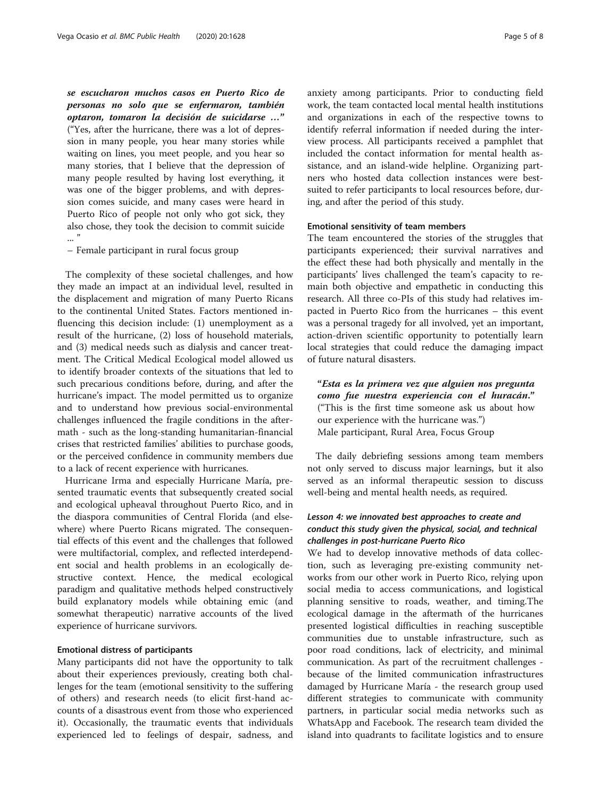se escucharon muchos casos en Puerto Rico de personas no solo que se enfermaron, también optaron, tomaron la decisión de suicidarse …" ("Yes, after the hurricane, there was a lot of depression in many people, you hear many stories while waiting on lines, you meet people, and you hear so many stories, that I believe that the depression of many people resulted by having lost everything, it was one of the bigger problems, and with depression comes suicide, and many cases were heard in Puerto Rico of people not only who got sick, they also chose, they took the decision to commit suicide ... "

– Female participant in rural focus group

The complexity of these societal challenges, and how they made an impact at an individual level, resulted in the displacement and migration of many Puerto Ricans to the continental United States. Factors mentioned influencing this decision include: (1) unemployment as a result of the hurricane, (2) loss of household materials, and (3) medical needs such as dialysis and cancer treatment. The Critical Medical Ecological model allowed us to identify broader contexts of the situations that led to such precarious conditions before, during, and after the hurricane's impact. The model permitted us to organize and to understand how previous social-environmental challenges influenced the fragile conditions in the aftermath - such as the long-standing humanitarian-financial crises that restricted families' abilities to purchase goods, or the perceived confidence in community members due to a lack of recent experience with hurricanes.

Hurricane Irma and especially Hurricane María, presented traumatic events that subsequently created social and ecological upheaval throughout Puerto Rico, and in the diaspora communities of Central Florida (and elsewhere) where Puerto Ricans migrated. The consequential effects of this event and the challenges that followed were multifactorial, complex, and reflected interdependent social and health problems in an ecologically destructive context. Hence, the medical ecological paradigm and qualitative methods helped constructively build explanatory models while obtaining emic (and somewhat therapeutic) narrative accounts of the lived experience of hurricane survivors.

## Emotional distress of participants

Many participants did not have the opportunity to talk about their experiences previously, creating both challenges for the team (emotional sensitivity to the suffering of others) and research needs (to elicit first-hand accounts of a disastrous event from those who experienced it). Occasionally, the traumatic events that individuals experienced led to feelings of despair, sadness, and anxiety among participants. Prior to conducting field work, the team contacted local mental health institutions and organizations in each of the respective towns to identify referral information if needed during the interview process. All participants received a pamphlet that included the contact information for mental health assistance, and an island-wide helpline. Organizing partners who hosted data collection instances were bestsuited to refer participants to local resources before, during, and after the period of this study.

### Emotional sensitivity of team members

The team encountered the stories of the struggles that participants experienced; their survival narratives and the effect these had both physically and mentally in the participants' lives challenged the team's capacity to remain both objective and empathetic in conducting this research. All three co-PIs of this study had relatives impacted in Puerto Rico from the hurricanes – this event was a personal tragedy for all involved, yet an important, action-driven scientific opportunity to potentially learn local strategies that could reduce the damaging impact of future natural disasters.

# "Esta es la primera vez que alguien nos pregunta como fue nuestra experiencia con el huracán." ("This is the first time someone ask us about how our experience with the hurricane was.") Male participant, Rural Area, Focus Group

The daily debriefing sessions among team members not only served to discuss major learnings, but it also served as an informal therapeutic session to discuss well-being and mental health needs, as required.

# Lesson 4: we innovated best approaches to create and conduct this study given the physical, social, and technical challenges in post-hurricane Puerto Rico

We had to develop innovative methods of data collection, such as leveraging pre-existing community networks from our other work in Puerto Rico, relying upon social media to access communications, and logistical planning sensitive to roads, weather, and timing.The ecological damage in the aftermath of the hurricanes presented logistical difficulties in reaching susceptible communities due to unstable infrastructure, such as poor road conditions, lack of electricity, and minimal communication. As part of the recruitment challenges because of the limited communication infrastructures damaged by Hurricane María - the research group used different strategies to communicate with community partners, in particular social media networks such as WhatsApp and Facebook. The research team divided the island into quadrants to facilitate logistics and to ensure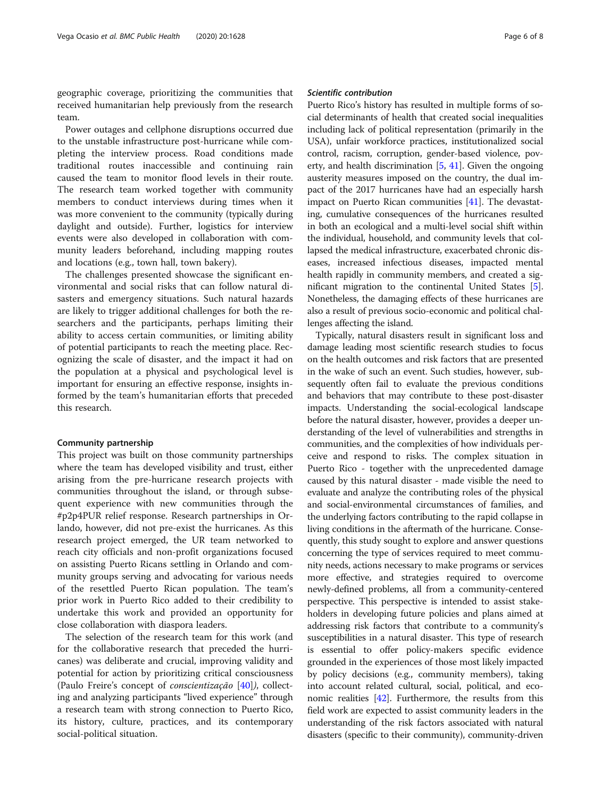geographic coverage, prioritizing the communities that received humanitarian help previously from the research team.

Power outages and cellphone disruptions occurred due to the unstable infrastructure post-hurricane while completing the interview process. Road conditions made traditional routes inaccessible and continuing rain caused the team to monitor flood levels in their route. The research team worked together with community members to conduct interviews during times when it was more convenient to the community (typically during daylight and outside). Further, logistics for interview events were also developed in collaboration with community leaders beforehand, including mapping routes and locations (e.g., town hall, town bakery).

The challenges presented showcase the significant environmental and social risks that can follow natural disasters and emergency situations. Such natural hazards are likely to trigger additional challenges for both the researchers and the participants, perhaps limiting their ability to access certain communities, or limiting ability of potential participants to reach the meeting place. Recognizing the scale of disaster, and the impact it had on the population at a physical and psychological level is important for ensuring an effective response, insights informed by the team's humanitarian efforts that preceded this research.

### Community partnership

This project was built on those community partnerships where the team has developed visibility and trust, either arising from the pre-hurricane research projects with communities throughout the island, or through subsequent experience with new communities through the #p2p4PUR relief response. Research partnerships in Orlando, however, did not pre-exist the hurricanes. As this research project emerged, the UR team networked to reach city officials and non-profit organizations focused on assisting Puerto Ricans settling in Orlando and community groups serving and advocating for various needs of the resettled Puerto Rican population. The team's prior work in Puerto Rico added to their credibility to undertake this work and provided an opportunity for close collaboration with diaspora leaders.

The selection of the research team for this work (and for the collaborative research that preceded the hurricanes) was deliberate and crucial, improving validity and potential for action by prioritizing critical consciousness (Paulo Freire's concept of *conscientização*  $[40]$ ), collecting and analyzing participants "lived experience" through a research team with strong connection to Puerto Rico, its history, culture, practices, and its contemporary social-political situation.

### Scientific contribution

Puerto Rico's history has resulted in multiple forms of social determinants of health that created social inequalities including lack of political representation (primarily in the USA), unfair workforce practices, institutionalized social control, racism, corruption, gender-based violence, poverty, and health discrimination [\[5,](#page-7-0) [41\]](#page-7-0). Given the ongoing austerity measures imposed on the country, the dual impact of the 2017 hurricanes have had an especially harsh impact on Puerto Rican communities [[41](#page-7-0)]. The devastating, cumulative consequences of the hurricanes resulted in both an ecological and a multi-level social shift within the individual, household, and community levels that collapsed the medical infrastructure, exacerbated chronic diseases, increased infectious diseases, impacted mental health rapidly in community members, and created a significant migration to the continental United States [[5](#page-7-0)]. Nonetheless, the damaging effects of these hurricanes are also a result of previous socio-economic and political challenges affecting the island.

Typically, natural disasters result in significant loss and damage leading most scientific research studies to focus on the health outcomes and risk factors that are presented in the wake of such an event. Such studies, however, subsequently often fail to evaluate the previous conditions and behaviors that may contribute to these post-disaster impacts. Understanding the social-ecological landscape before the natural disaster, however, provides a deeper understanding of the level of vulnerabilities and strengths in communities, and the complexities of how individuals perceive and respond to risks. The complex situation in Puerto Rico - together with the unprecedented damage caused by this natural disaster - made visible the need to evaluate and analyze the contributing roles of the physical and social-environmental circumstances of families, and the underlying factors contributing to the rapid collapse in living conditions in the aftermath of the hurricane. Consequently, this study sought to explore and answer questions concerning the type of services required to meet community needs, actions necessary to make programs or services more effective, and strategies required to overcome newly-defined problems, all from a community-centered perspective. This perspective is intended to assist stakeholders in developing future policies and plans aimed at addressing risk factors that contribute to a community's susceptibilities in a natural disaster. This type of research is essential to offer policy-makers specific evidence grounded in the experiences of those most likely impacted by policy decisions (e.g., community members), taking into account related cultural, social, political, and economic realities [\[42](#page-7-0)]. Furthermore, the results from this field work are expected to assist community leaders in the understanding of the risk factors associated with natural disasters (specific to their community), community-driven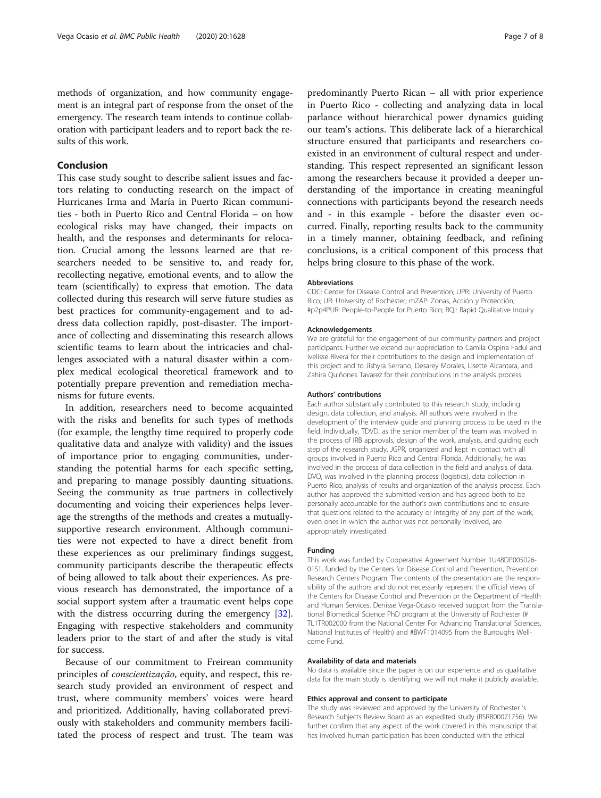Vega Ocasio et al. BMC Public Health (2020) 20:1628 Page 7 of 8

methods of organization, and how community engagement is an integral part of response from the onset of the emergency. The research team intends to continue collaboration with participant leaders and to report back the results of this work.

# Conclusion

This case study sought to describe salient issues and factors relating to conducting research on the impact of Hurricanes Irma and María in Puerto Rican communities - both in Puerto Rico and Central Florida – on how ecological risks may have changed, their impacts on health, and the responses and determinants for relocation. Crucial among the lessons learned are that researchers needed to be sensitive to, and ready for, recollecting negative, emotional events, and to allow the team (scientifically) to express that emotion. The data collected during this research will serve future studies as best practices for community-engagement and to address data collection rapidly, post-disaster. The importance of collecting and disseminating this research allows scientific teams to learn about the intricacies and challenges associated with a natural disaster within a complex medical ecological theoretical framework and to potentially prepare prevention and remediation mechanisms for future events.

In addition, researchers need to become acquainted with the risks and benefits for such types of methods (for example, the lengthy time required to properly code qualitative data and analyze with validity) and the issues of importance prior to engaging communities, understanding the potential harms for each specific setting, and preparing to manage possibly daunting situations. Seeing the community as true partners in collectively documenting and voicing their experiences helps leverage the strengths of the methods and creates a mutuallysupportive research environment. Although communities were not expected to have a direct benefit from these experiences as our preliminary findings suggest, community participants describe the therapeutic effects of being allowed to talk about their experiences. As previous research has demonstrated, the importance of a social support system after a traumatic event helps cope with the distress occurring during the emergency [\[32](#page-7-0)]. Engaging with respective stakeholders and community leaders prior to the start of and after the study is vital for success.

Because of our commitment to Freirean community principles of conscientização, equity, and respect, this research study provided an environment of respect and trust, where community members' voices were heard and prioritized. Additionally, having collaborated previously with stakeholders and community members facilitated the process of respect and trust. The team was

predominantly Puerto Rican – all with prior experience in Puerto Rico - collecting and analyzing data in local parlance without hierarchical power dynamics guiding our team's actions. This deliberate lack of a hierarchical structure ensured that participants and researchers coexisted in an environment of cultural respect and understanding. This respect represented an significant lesson among the researchers because it provided a deeper understanding of the importance in creating meaningful connections with participants beyond the research needs and - in this example - before the disaster even occurred. Finally, reporting results back to the community in a timely manner, obtaining feedback, and refining conclusions, is a critical component of this process that helps bring closure to this phase of the work.

#### Abbreviations

CDC: Center for Disease Control and Prevention; UPR: University of Puerto Rico; UR: University of Rochester; mZAP: Zonas, Acción y Protección; #p2p4PUR: People-to-People for Puerto Rico; RQI: Rapid Qualitative Inquiry

#### Acknowledgements

We are grateful for the engagement of our community partners and project participants. Further we extend our appreciation to Camila Ospina Fadul and Ivelisse Rivera for their contributions to the design and implementation of this project and to Jishyra Serrano, Desarey Morales, Lisette Alcantara, and Zahira Quiñones Tavarez for their contributions in the analysis process.

#### Authors' contributions

Each author substantially contributed to this research study, including design, data collection, and analysis. All authors were involved in the development of the interview guide and planning process to be used in the field. Individually, TDVD, as the senior member of the team was involved in the process of IRB approvals, design of the work, analysis, and guiding each step of the research study. JGPR, organized and kept in contact with all groups involved in Puerto Rico and Central Florida. Additionally, he was involved in the process of data collection in the field and analysis of data. DVO, was involved in the planning process (logistics), data collection in Puerto Rico, analysis of results and organization of the analysis process. Each author has approved the submitted version and has agreed both to be personally accountable for the author's own contributions and to ensure that questions related to the accuracy or integrity of any part of the work, even ones in which the author was not personally involved, are appropriately investigated.

### Funding

This work was funded by Cooperative Agreement Number 1U48DP005026- 01S1, funded by the Centers for Disease Control and Prevention, Prevention Research Centers Program. The contents of the presentation are the responsibility of the authors and do not necessarily represent the official views of the Centers for Disease Control and Prevention or the Department of Health and Human Services. Denisse Vega-Ocasio received support from the Translational Biomedical Science PhD program at the University of Rochester (# TL1TR002000 from the National Center For Advancing Translational Sciences, National Institutes of Health) and #BWF1014095 from the Burroughs Wellcome Fund.

#### Availability of data and materials

No data is available since the paper is on our experience and as qualitative data for the main study is identifying, we will not make it publicly available.

### Ethics approval and consent to participate

The study was reviewed and approved by the University of Rochester 's Research Subjects Review Board as an expedited study (RSRB00071756). We further confirm that any aspect of the work covered in this manuscript that has involved human participation has been conducted with the ethical